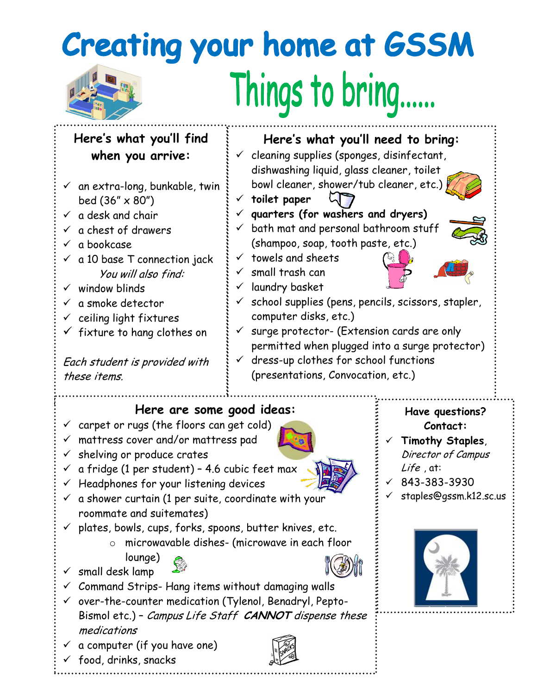## **Creating your home at GSSM** Things to bring......

| Here's what you'll find                                                                                                    | Here's what you'll need to bring:                                                    |                           |
|----------------------------------------------------------------------------------------------------------------------------|--------------------------------------------------------------------------------------|---------------------------|
| when you arrive:                                                                                                           | $\checkmark$ cleaning supplies (sponges, disinfectant,                               |                           |
|                                                                                                                            | dishwashing liquid, glass cleaner, toilet<br>bowl cleaner, shower/tub cleaner, etc.) |                           |
| $\checkmark$ an extra-long, bunkable, twin                                                                                 | toilet paper<br>$\checkmark$                                                         |                           |
| bed $(36'' \times 80'')$<br>a desk and chair                                                                               | quarters (for washers and dryers)                                                    |                           |
| $\checkmark$<br>a chest of drawers                                                                                         | bath mat and personal bathroom stuff<br>$\checkmark$                                 |                           |
| a bookcase<br>$\checkmark$                                                                                                 | (shampoo, soap, tooth paste, etc.)                                                   |                           |
| $\checkmark$ a 10 base T connection jack                                                                                   | towels and sheets<br>$\checkmark$                                                    |                           |
| You will also find:                                                                                                        | $\checkmark$ small trash can                                                         |                           |
| $\checkmark$ window blinds                                                                                                 | laundry basket<br>$\checkmark$                                                       |                           |
| a smoke detector<br>$\checkmark$                                                                                           | school supplies (pens, pencils, scissors, stapler,<br>$\checkmark$                   |                           |
| ceiling light fixtures                                                                                                     | computer disks, etc.)                                                                |                           |
| $\checkmark$ fixture to hang clothes on                                                                                    | surge protector- (Extension cards are only<br>$\checkmark$                           |                           |
|                                                                                                                            | permitted when plugged into a surge protector)                                       |                           |
| Each student is provided with                                                                                              | dress-up clothes for school functions                                                |                           |
| these items.                                                                                                               | (presentations, Convocation, etc.)                                                   |                           |
|                                                                                                                            |                                                                                      |                           |
|                                                                                                                            |                                                                                      |                           |
| Here are some good ideas:                                                                                                  |                                                                                      | Have questions?           |
| carpet or rugs (the floors can get cold)                                                                                   |                                                                                      | Contact:                  |
| mattress cover and/or mattress pad                                                                                         |                                                                                      | Timothy Staples,          |
| shelving or produce crates<br>✓                                                                                            |                                                                                      | Director of Campus        |
| a fridge (1 per student) - 4.6 cubic feet max<br>✓                                                                         |                                                                                      | $Life$ , at:              |
| Headphones for your listening devices                                                                                      |                                                                                      | $\sqrt{843 - 383 - 3930}$ |
| a shower curtain (1 per suite, coordinate with your                                                                        |                                                                                      | staples@gssm.k12.sc.us    |
| roommate and suitemates)                                                                                                   |                                                                                      |                           |
| $\checkmark$ plates, bowls, cups, forks, spoons, butter knives, etc.                                                       |                                                                                      |                           |
| $\circ$                                                                                                                    | microwavable dishes- (microwave in each floor                                        |                           |
| lounge)                                                                                                                    |                                                                                      |                           |
| small desk lamp                                                                                                            |                                                                                      |                           |
| Command Strips-Hang items without damaging walls<br>over-the-counter medication (Tylenol, Benadryl, Pepto-<br>$\checkmark$ |                                                                                      |                           |
| Bismol etc.) - Campus Life Staff CANNOT dispense these                                                                     |                                                                                      |                           |
| medications                                                                                                                |                                                                                      |                           |
| a computer (if you have one)                                                                                               |                                                                                      |                           |